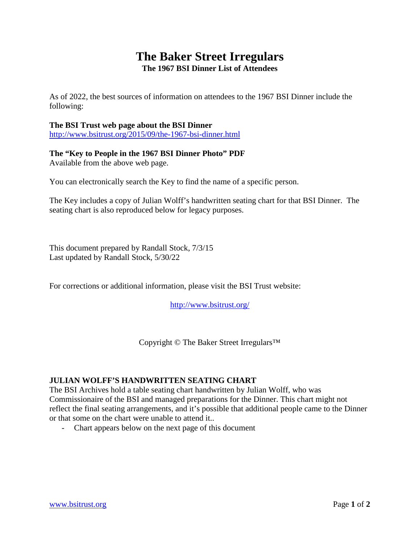## **The Baker Street Irregulars The 1967 BSI Dinner List of Attendees**

As of 2022, the best sources of information on attendees to the 1967 BSI Dinner include the following:

## **The BSI Trust web page about the BSI Dinner**

<http://www.bsitrust.org/2015/09/the-1967-bsi-dinner.html>

## **The "Key to People in the 1967 BSI Dinner Photo" PDF** Available from the above web page.

You can electronically search the Key to find the name of a specific person.

The Key includes a copy of Julian Wolff's handwritten seating chart for that BSI Dinner. The seating chart is also reproduced below for legacy purposes.

This document prepared by Randall Stock, 7/3/15 Last updated by Randall Stock, 5/30/22

For corrections or additional information, please visit the BSI Trust website:

<http://www.bsitrust.org/>

Copyright © The Baker Street Irregulars™

## **JULIAN WOLFF'S HANDWRITTEN SEATING CHART**

The BSI Archives hold a table seating chart handwritten by Julian Wolff, who was Commissionaire of the BSI and managed preparations for the Dinner. This chart might not reflect the final seating arrangements, and it's possible that additional people came to the Dinner or that some on the chart were unable to attend it..

- Chart appears below on the next page of this document